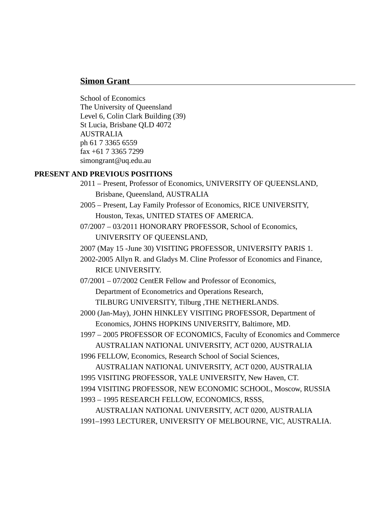## **Simon Grant**

School of Economics The University of Queensland Level 6, Colin Clark Building (39) St Lucia, Brisbane QLD 4072 AUSTRALIA ph 61 7 3365 6559 fax +61 7 3365 7299 simongrant@uq.edu.au

## **PRESENT AND PREVIOUS POSITIONS**

2011 – Present, Professor of Economics, UNIVERSITY OF QUEENSLAND, Brisbane, Queensland, AUSTRALIA 2005 – Present, Lay Family Professor of Economics, RICE UNIVERSITY, Houston, Texas, UNITED STATES OF AMERICA. 07/2007 – 03/2011 HONORARY PROFESSOR, School of Economics, UNIVERSITY OF QUEENSLAND, 2007 (May 15 -June 30) VISITING PROFESSOR, UNIVERSITY PARIS 1. 2002-2005 Allyn R. and Gladys M. Cline Professor of Economics and Finance, RICE UNIVERSITY. 07/2001 – 07/2002 CentER Fellow and Professor of Economics, Department of Econometrics and Operations Research, TILBURG UNIVERSITY, Tilburg ,THE NETHERLANDS. 2000 (Jan-May), JOHN HINKLEY VISITING PROFESSOR, Department of Economics, JOHNS HOPKINS UNIVERSITY, Baltimore, MD. 1997 – 2005 PROFESSOR OF ECONOMICS, Faculty of Economics and Commerce AUSTRALIAN NATIONAL UNIVERSITY, ACT 0200, AUSTRALIA 1996 FELLOW, Economics, Research School of Social Sciences, AUSTRALIAN NATIONAL UNIVERSITY, ACT 0200, AUSTRALIA 1995 VISITING PROFESSOR, YALE UNIVERSITY, New Haven, CT. 1994 VISITING PROFESSOR, NEW ECONOMIC SCHOOL, Moscow, RUSSIA 1993 – 1995 RESEARCH FELLOW, ECONOMICS, RSSS, AUSTRALIAN NATIONAL UNIVERSITY, ACT 0200, AUSTRALIA 1991–1993 LECTURER, UNIVERSITY OF MELBOURNE, VIC, AUSTRALIA.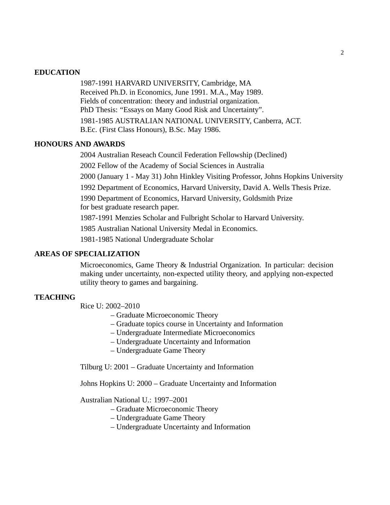### **EDUCATION**

1987-1991 HARVARD UNIVERSITY, Cambridge, MA Received Ph.D. in Economics, June 1991. M.A., May 1989. Fields of concentration: theory and industrial organization. PhD Thesis: "Essays on Many Good Risk and Uncertainty". 1981-1985 AUSTRALIAN NATIONAL UNIVERSITY, Canberra, ACT. B.Ec. (First Class Honours), B.Sc. May 1986.

# **HONOURS AND AWARDS**

2004 Australian Reseach Council Federation Fellowship (Declined)

2002 Fellow of the Academy of Social Sciences in Australia

2000 (January 1 - May 31) John Hinkley Visiting Professor, Johns Hopkins University

1992 Department of Economics, Harvard University, David A. Wells Thesis Prize.

1990 Department of Economics, Harvard University, Goldsmith Prize

for best graduate research paper.

1987-1991 Menzies Scholar and Fulbright Scholar to Harvard University.

1985 Australian National University Medal in Economics.

1981-1985 National Undergraduate Scholar

# **AREAS OF SPECIALIZATION**

Microeconomics, Game Theory & Industrial Organization. In particular: decision making under uncertainty, non-expected utility theory, and applying non-expected utility theory to games and bargaining.

## **TEACHING**

Rice U: 2002–2010

- Graduate Microeconomic Theory
- Graduate topics course in Uncertainty and Information
- Undergraduate Intermediate Microeconomics
- Undergraduate Uncertainty and Information
- Undergraduate Game Theory

Tilburg U: 2001 – Graduate Uncertainty and Information

Johns Hopkins U: 2000 – Graduate Uncertainty and Information

Australian National U.: 1997–2001

- Graduate Microeconomic Theory
- Undergraduate Game Theory
- Undergraduate Uncertainty and Information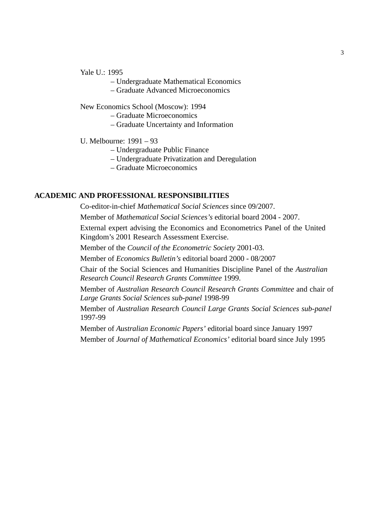### Yale U.: 1995

- Undergraduate Mathematical Economics
- Graduate Advanced Microeconomics

New Economics School (Moscow): 1994

– Graduate Microeconomics

– Graduate Uncertainty and Information

## U. Melbourne: 1991 – 93

- Undergraduate Public Finance
- Undergraduate Privatization and Deregulation
- Graduate Microeconomics

## **ACADEMIC AND PROFESSIONAL RESPONSIBILITIES**

Co-editor-in-chief *Mathematical Social Sciences* since 09/2007.

Member of *Mathematical Social Sciences's* editorial board 2004 - 2007.

External expert advising the Economics and Econometrics Panel of the United Kingdom's 2001 Research Assessment Exercise.

Member of the *Council of the Econometric Society* 2001-03.

Member of *Economics Bulletin's* editorial board 2000 - 08/2007

Chair of the Social Sciences and Humanities Discipline Panel of the *Australian Research Council Research Grants Committee* 1999.

Member of *Australian Research Council Research Grants Committee* and chair of *Large Grants Social Sciences sub-panel* 1998-99

Member of *Australian Research Council Large Grants Social Sciences sub-panel* 1997-99

Member of *Australian Economic Papers'* editorial board since January 1997

Member of *Journal of Mathematical Economics'* editorial board since July 1995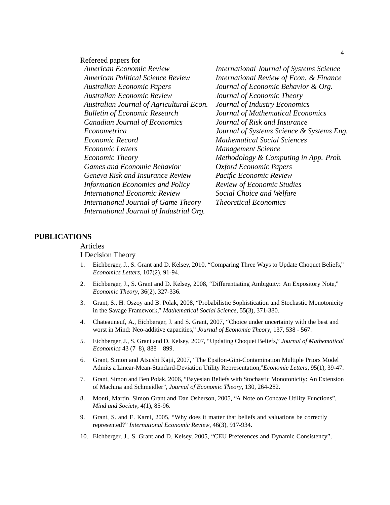| Refereed papers for                      |                                           |
|------------------------------------------|-------------------------------------------|
| American Economic Review                 | International Journal of Systems Science  |
| <b>American Political Science Review</b> | International Review of Econ. & Finance   |
| <b>Australian Economic Papers</b>        | Journal of Economic Behavior & Org.       |
| Australian Economic Review               | Journal of Economic Theory                |
| Australian Journal of Agricultural Econ. | Journal of Industry Economics             |
| <b>Bulletin of Economic Research</b>     | Journal of Mathematical Economics         |
| <b>Canadian Journal of Economics</b>     | Journal of Risk and Insurance             |
| Econometrica                             | Journal of Systems Science & Systems Eng. |
| Economic Record                          | <b>Mathematical Social Sciences</b>       |
| <i>Economic Letters</i>                  | <b>Management Science</b>                 |
| Economic Theory                          | Methodology & Computing in App. Prob.     |
| Games and Economic Behavior              | <b>Oxford Economic Papers</b>             |
| Geneva Risk and Insurance Review         | Pacific Economic Review                   |
| <b>Information Economics and Policy</b>  | <b>Review of Economic Studies</b>         |
| <i>International Economic Review</i>     | Social Choice and Welfare                 |
| International Journal of Game Theory     | <b>Theoretical Economics</b>              |
| International Journal of Industrial Org. |                                           |
|                                          |                                           |

## **PUBLICATIONS**

## Articles

I Decision Theory

- 1. Eichberger, J., S. Grant and D. Kelsey, 2010, "Comparing Three Ways to Update Choquet Beliefs," *Economics Letters,* 107(2), 91-94.
- 2. Eichberger, J., S. Grant and D. Kelsey, 2008, "Differentiating Ambiguity: An Expository Note," *Economic Theory*, 36(2), 327-336.
- 3. Grant, S., H. Oszoy and B. Polak, 2008, "Probabilistic Sophistication and Stochastic Monotonicity in the Savage Framework," *Mathematical Social Science,* 55(3), 371-380.
- 4. Chateauneuf, A., Eichberger, J. and S. Grant, 2007, "Choice under uncertainty with the best and worst in Mind: Neo-additive capacities," *Journal of Economic Theory*, 137, 538 - 567.
- 5. Eichberger, J., S. Grant and D. Kelsey, 2007, "Updating Choquet Beliefs," *Journal of Mathematical Economics* 43 (7–8), 888 – 899.
- 6. Grant, Simon and Atsushi Kajii, 2007, "The Epsilon-Gini-Contamination Multiple Priors Model Admits a Linear-Mean-Standard-Deviation Utility Representation,"*Economic Letters*, 95(1), 39-47.
- 7. Grant, Simon and Ben Polak, 2006, "Bayesian Beliefs with Stochastic Monotonicity: An Extension of Machina and Schmeidler", *Journal of Economic Theory*, 130, 264-282.
- 8. Monti, Martin, Simon Grant and Dan Osherson, 2005, "A Note on Concave Utility Functions", *Mind and Society*, 4(1), 85-96.
- 9. Grant, S. and E. Karni, 2005, "Why does it matter that beliefs and valuations be correctly represented?" *International Economic Review*, 46(3), 917-934.
- 10. Eichberger, J., S. Grant and D. Kelsey, 2005, "CEU Preferences and Dynamic Consistency",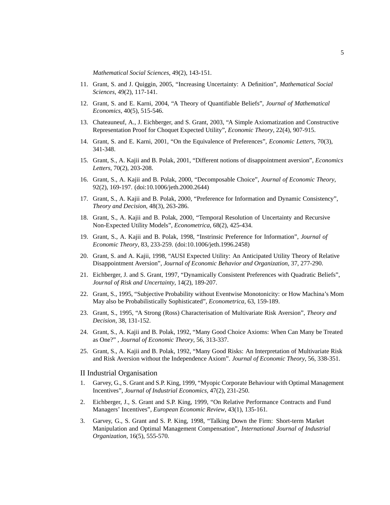*Mathematical Social Sciences*, 49(2), 143-151.

- 11. Grant, S. and J. Quiggin, 2005, "Increasing Uncertainty: A Definition", *Mathematical Social Sciences*, 49(2), 117-141.
- 12. Grant, S. and E. Karni, 2004, "A Theory of Quantifiable Beliefs", *Journal of Mathematical Economics*, 40(5), 515-546.
- 13. Chateauneuf, A., J. Eichberger, and S. Grant, 2003, "A Simple Axiomatization and Constructive Representation Proof for Choquet Expected Utility", *Economic Theory*, 22(4), 907-915.
- 14. Grant, S. and E. Karni, 2001, "On the Equivalence of Preferences", *Economic Letters*, 70(3), 341-348.
- 15. Grant, S., A. Kajii and B. Polak, 2001, "Different notions of disappointment aversion", *Economics Letters*, 70(2), 203-208.
- 16. Grant, S., A. Kajii and B. Polak, 2000, "Decomposable Choice", *Journal of Economic Theory*, 92(2), 169-197. (doi:10.1006/jeth.2000.2644)
- 17. Grant, S., A. Kajii and B. Polak, 2000, "Preference for Information and Dynamic Consistency", *Theory and Decision*, 48(3), 263-286.
- 18. Grant, S., A. Kajii and B. Polak, 2000, "Temporal Resolution of Uncertainty and Recursive Non-Expected Utility Models", *Econometrica*, 68(2), 425-434.
- 19. Grant, S., A. Kajii and B. Polak, 1998, "Instrinsic Preference for Information", *Journal of Economic Theory*, 83, 233-259. (doi:10.1006/jeth.1996.2458)
- 20. Grant, S. and A. Kajii, 1998, "AUSI Expected Utility: An Anticipated Utility Theory of Relative Disappointment Aversion", *Journal of Economic Behavior and Organization*, 37, 277-290.
- 21. Eichberger, J. and S. Grant, 1997, "Dynamically Consistent Preferences with Quadratic Beliefs", *Journal of Risk and Uncertainty*, 14(2), 189-207.
- 22. Grant, S., 1995, "Subjective Probability without Eventwise Monotonicity: or How Machina's Mom May also be Probabilistically Sophisticated", *Econometrica*, 63, 159-189.
- 23. Grant, S., 1995, "A Strong (Ross) Characterisation of Multivariate Risk Aversion", *Theory and Decision*, 38, 131-152.
- 24. Grant, S., A. Kajii and B. Polak, 1992, "Many Good Choice Axioms: When Can Many be Treated as One?" , *Journal of Economic Theory*, 56, 313-337.
- 25. Grant, S., A. Kajii and B. Polak, 1992, "Many Good Risks: An Interpretation of Multivariate Risk and Risk Aversion without the Independence Axiom". *Journal of Economic Theory*, 56, 338-351.

#### II Industrial Organisation

- 1. Garvey, G., S. Grant and S.P. King, 1999, "Myopic Corporate Behaviour with Optimal Management Incentives", *Journal of Industrial Economics*, 47(2), 231-250.
- 2. Eichberger, J., S. Grant and S.P. King, 1999, "On Relative Performance Contracts and Fund Managers' Incentives", *European Economic Review*, 43(1), 135-161.
- 3. Garvey, G., S. Grant and S. P. King, 1998, "Talking Down the Firm: Short-term Market Manipulation and Optimal Management Compensation", *International Journal of Industrial Organization*, 16(5), 555-570.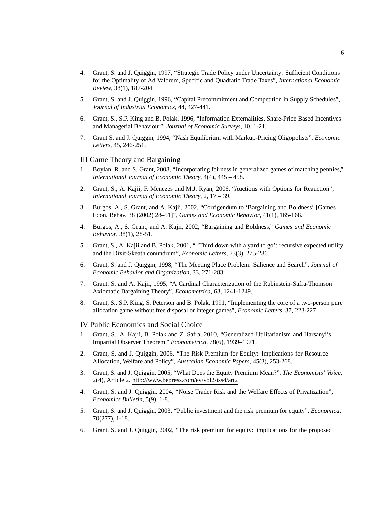- 4. Grant, S. and J. Quiggin, 1997, "Strategic Trade Policy under Uncertainty: Sufficient Conditions for the Optimality of Ad Valorem, Specific and Quadratic Trade Taxes", *International Economic Review*, 38(1), 187-204.
- 5. Grant, S. and J. Quiggin, 1996, "Capital Precommitment and Competition in Supply Schedules", *Journal of Industrial Economics*, 44, 427-441.
- 6. Grant, S., S.P. King and B. Polak, 1996, "Information Externalities, Share-Price Based Incentives and Managerial Behaviour", *Journal of Economic Surveys*, 10, 1-21.
- 7. Grant S. and J. Quiggin, 1994, "Nash Equilibrium with Markup-Pricing Oligopolists", *Economic Letters*, 45, 246-251.

#### III Game Theory and Bargaining

- 1. Boylan, R. and S. Grant, 2008, "Incorporating fairness in generalized games of matching pennies," *International Journal of Economic Theory*, 4(4), 445 – 458.
- 2. Grant, S., A. Kajii, F. Menezes and M.J. Ryan, 2006, "Auctions with Options for Reauction", *International Journal of Economic Theory*, 2, 17 – 39.
- 3. Burgos, A., S. Grant, and A. Kajii, 2002, "Corrigendum to 'Bargaining and Boldness' [Games Econ. Behav. 38 (2002) 28–51]", *Games and Economic Behavior*, 41(1), 165-168.
- 4. Burgos, A., S. Grant, and A. Kajii, 2002, "Bargaining and Boldness," *Games and Economic Behavior*, 38(1), 28-51.
- 5. Grant, S., A. Kajii and B. Polak, 2001, " 'Third down with a yard to go': recursive expected utility and the Dixit-Skeath conundrum", *Economic Letters*, 73(3), 275-286.
- 6. Grant, S. and J. Quiggin, 1998, "The Meeting Place Problem: Salience and Search", *Journal of Economic Behavior and Organization*, 33, 271-283.
- 7. Grant, S. and A. Kajii, 1995, "A Cardinal Characterization of the Rubinstein-Safra-Thomson Axiomatic Bargaining Theory", *Econometrica*, 63, 1241-1249.
- 8. Grant, S., S.P. King, S. Peterson and B. Polak, 1991, "Implementing the core of a two-person pure allocation game without free disposal or integer games", *Economic Letters*, 37, 223-227.

#### IV Public Economics and Social Choice

- 1. Grant, S., A. Kajii, B. Polak and Z. Safra, 2010, "Generalized Utilitarianism and Harsanyi's Impartial Observer Theorem," *Econometrica*, 78(6), 1939–1971.
- 2. Grant, S. and J. Quiggin, 2006, "The Risk Premium for Equity: Implications for Resource Allocation, Welfare and Policy", *Australian Economic Papers*, 45(3), 253-268.
- 3. Grant, S. and J. Quiggin, 2005, "What Does the Equity Premium Mean?", *The Economists' Voice*, 2(4), Article 2. http://www.bepress.com/ev/vol2/iss4/art2
- 4. Grant, S. and J. Quiggin, 2004, "Noise Trader Risk and the Welfare Effects of Privatization", *Economics Bulletin*, 5(9), 1-8.
- 5. Grant, S. and J. Quiggin, 2003, "Public investment and the risk premium for equity", *Economica*, 70(277), 1-18.
- 6. Grant, S. and J. Quiggin, 2002, "The risk premium for equity: implications for the proposed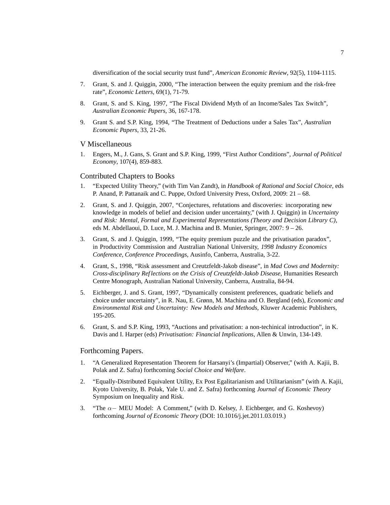diversification of the social security trust fund", *American Economic Review*, 92(5), 1104-1115.

- 7. Grant, S. and J. Quiggin, 2000, "The interaction between the equity premium and the risk-free rate", *Economic Letters*, 69(1), 71-79.
- 8. Grant, S. and S. King, 1997, "The Fiscal Dividend Myth of an Income/Sales Tax Switch", *Australian Economic Papers*, 36, 167-178.
- 9. Grant S. and S.P. King, 1994, "The Treatment of Deductions under a Sales Tax", *Australian Economic Papers*, 33, 21-26.

### V Miscellaneous

1. Engers, M., J. Gans, S. Grant and S.P. King, 1999, "First Author Conditions", *Journal of Political Economy*, 107(4), 859-883.

#### Contributed Chapters to Books

- 1. "Expected Utility Theory," (with Tim Van Zandt), in *Handbook of Rational and Social Choice*, eds P. Anand, P. Pattanaik and C. Puppe, Oxford University Press, Oxford, 2009: 21 – 68.
- 2. Grant, S. and J. Quiggin, 2007, "Conjectures, refutations and discoveries: incorporating new knowledge in models of belief and decision under uncertainty," (with J. Quiggin) in *Uncertainty and Risk: Mental, Formal and Experimental Representations (Theory and Decision Library C)*, eds M. Abdellaoui, D. Luce, M. J. Machina and B. Munier, Springer, 2007: 9 – 26.
- 3. Grant, S. and J. Quiggin, 1999, "The equity premium puzzle and the privatisation paradox", in Productivity Commission and Australian National University, *1998 Industry Economics Conference, Conference Proceedings*, Ausinfo, Canberra, Australia, 3-22.
- 4. Grant, S., 1998, "Risk assessment and Creutzfeldt-Jakob disease", in *Mad Cows and Modernity: Cross-disciplinary Ref lections on the Crisis of Creutzfeldt-Jakob Disease*, Humanities Research Centre Monograph, Australian National University, Canberra, Australia, 84-94.
- 5. Eichberger, J. and S. Grant, 1997, "Dynamically consistent preferences, quadratic beliefs and choice under uncertainty", in R. Nau, E. Grønn, M. Machina and O. Bergland (eds), *Economic and Environmental Risk and Uncertainty: New Models and Methods*, Kluwer Academic Publishers, 195-205.
- 6. Grant, S. and S.P. King, 1993, "Auctions and privatisation: a non-techinical introduction", in K. Davis and I. Harper (eds) *Privatisation: Financial Implications*, Allen & Unwin, 134-149.

#### Forthcoming Papers.

- 1. "A Generalized Representation Theorem for Harsanyi's (Impartial) Observer," (with A. Kajii, B. Polak and Z. Safra) forthcoming *Social Choice and Welfare*.
- 2. "Equally-Distributed Equivalent Utility, Ex Post Egalitarianism and Utilitarianism" (with A. Kajii, Kyoto University, B. Polak, Yale U. and Z. Safra) forthcoming *Journal of Economic Theory* Symposium on Inequality and Risk.
- 3. "The  $\alpha$  MEU Model: A Comment," (with D. Kelsey, J. Eichberger, and G. Koshevoy) forthcoming *Journal of Economic Theory* (DOI: 10.1016/j.jet.2011.03.019.)